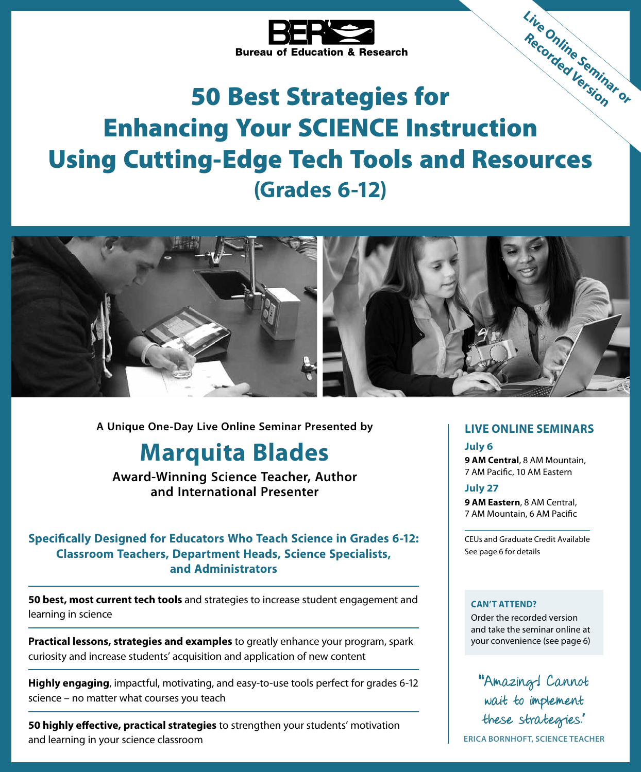

# 50 Best Strategies for Enhancing Your SCIENCE Instruction Using Cutting-Edge Tech Tools and Resources **(Grades 6-12) Live Online Seminar or Recorded Version**



**A Unique One-Day Live Online Seminar Presented by**

# **Marquita Blades**

**Award-Winning Science Teacher, Author and International Presenter**

# **Specifically Designed for Educators Who Teach Science in Grades 6-12: Classroom Teachers, Department Heads, Science Specialists, and Administrators**

**50 best, most current tech tools** and strategies to increase student engagement and learning in science

**Practical lessons, strategies and examples** to greatly enhance your program, spark curiosity and increase students' acquisition and application of new content

**Highly engaging**, impactful, motivating, and easy-to-use tools perfect for grades 6-12 science – no matter what courses you teach

**50 highly effective, practical strategies** to strengthen your students' motivation and learning in your science classroom

# **LIVE ONLINE SEMINARS**

### **July 6**

**9 AM Central**, 8 AM Mountain, 7 AM Pacific, 10 AM Eastern

### **July 27**

**9 AM Eastern**, 8 AM Central, 7 AM Mountain, 6 AM Pacific

CEUs and Graduate Credit Available See page 6 for details

### **CAN'T ATTEND?**

Order the recorded version and take the seminar online at your convenience (see page 6)

""Amazing! Cannot wait to implement these strategies."

**ERICA BORNHOFT, SCIENCE TEACHER**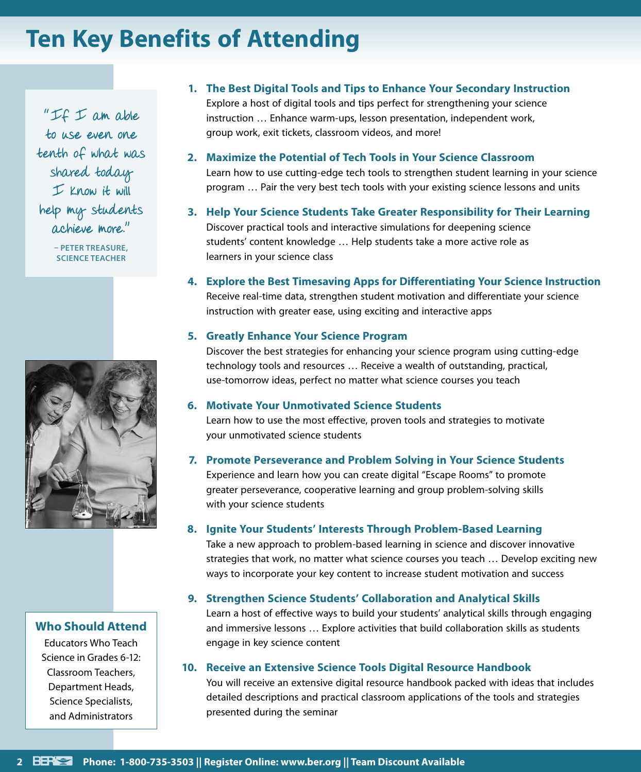# **Ten Key Benefits of Attending**

" $IF$   $I$  am able to use even one tenth of what was shared today  $I$  Know it will help my students achieve more."

> **– PETER TREASURE, SCIENCE TEACHER**



# **Who Should Attend**

Educators Who Teach Science in Grades 6-12: Classroom Teachers, Department Heads, Science Specialists, and Administrators

- **1. The Best Digital Tools and Tips to Enhance Your Secondary Instruction** Explore a host of digital tools and tips perfect for strengthening your science instruction … Enhance warm-ups, lesson presentation, independent work, group work, exit tickets, classroom videos, and more!
- **2. Maximize the Potential of Tech Tools in Your Science Classroom** Learn how to use cutting-edge tech tools to strengthen student learning in your science program … Pair the very best tech tools with your existing science lessons and units
- **3. Help Your Science Students Take Greater Responsibility for Their Learning** Discover practical tools and interactive simulations for deepening science students' content knowledge … Help students take a more active role as learners in your science class
- **4. Explore the Best Timesaving Apps for Differentiating Your Science Instruction** Receive real-time data, strengthen student motivation and differentiate your science instruction with greater ease, using exciting and interactive apps

### **5. Greatly Enhance Your Science Program**

Discover the best strategies for enhancing your science program using cutting-edge technology tools and resources … Receive a wealth of outstanding, practical, use-tomorrow ideas, perfect no matter what science courses you teach

### **6. Motivate Your Unmotivated Science Students**

Learn how to use the most effective, proven tools and strategies to motivate your unmotivated science students

### **7. Promote Perseverance and Problem Solving in Your Science Students**

Experience and learn how you can create digital "Escape Rooms" to promote greater perseverance, cooperative learning and group problem-solving skills with your science students

### **8. Ignite Your Students' Interests Through Problem-Based Learning**

Take a new approach to problem-based learning in science and discover innovative strategies that work, no matter what science courses you teach … Develop exciting new ways to incorporate your key content to increase student motivation and success

### **9. Strengthen Science Students' Collaboration and Analytical Skills**

Learn a host of effective ways to build your students' analytical skills through engaging and immersive lessons … Explore activities that build collaboration skills as students engage in key science content

## **10. Receive an Extensive Science Tools Digital Resource Handbook**

You will receive an extensive digital resource handbook packed with ideas that includes detailed descriptions and practical classroom applications of the tools and strategies presented during the seminar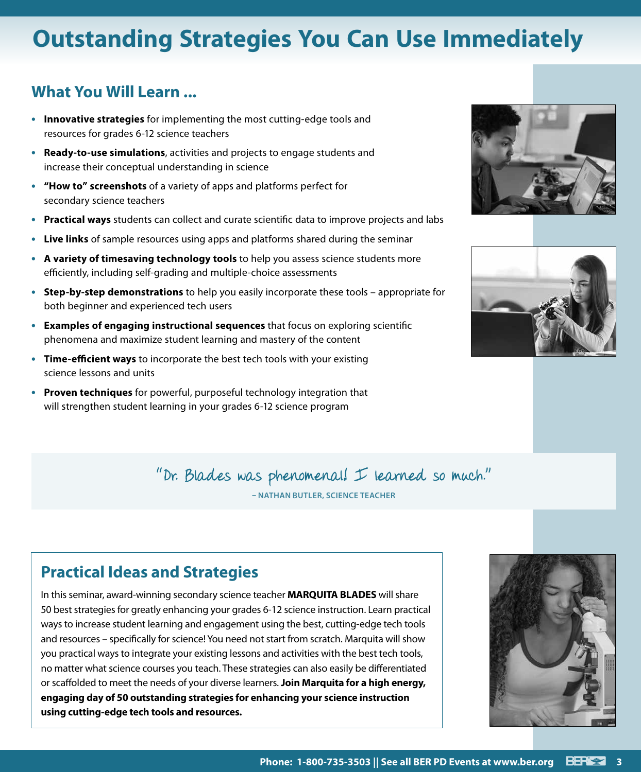# **Outstanding Strategies You Can Use Immediately**

# **What You Will Learn ...**

- **• Innovative strategies** for implementing the most cutting-edge tools and resources for grades 6-12 science teachers
- **• Ready-to-use simulations**, activities and projects to engage students and increase their conceptual understanding in science
- **• "How to" screenshots** of a variety of apps and platforms perfect for secondary science teachers
- **• Practical ways** students can collect and curate scientific data to improve projects and labs
- **• Live links** of sample resources using apps and platforms shared during the seminar
- **• A variety of timesaving technology tools** to help you assess science students more efficiently, including self-grading and multiple-choice assessments
- **• Step-by-step demonstrations** to help you easily incorporate these tools appropriate for both beginner and experienced tech users
- **• Examples of engaging instructional sequences** that focus on exploring scientific phenomena and maximize student learning and mastery of the content
- **• Time-efficient ways** to incorporate the best tech tools with your existing science lessons and units
- **• Proven techniques** for powerful, purposeful technology integration that will strengthen student learning in your grades 6-12 science program





"Dr. Blades was phenomenal! I learned so much."

**– NATHAN BUTLER, SCIENCE TEACHER**

# **Practical Ideas and Strategies**

In this seminar, award-winning secondary science teacher **MARQUITA BLADES** will share 50 best strategies for greatly enhancing your grades 6-12 science instruction. Learn practical ways to increase student learning and engagement using the best, cutting-edge tech tools and resources – specifically for science! You need not start from scratch. Marquita will show you practical ways to integrate your existing lessons and activities with the best tech tools, no matter what science courses you teach. These strategies can also easily be differentiated or scaffolded to meet the needs of your diverse learners. **Join Marquita for a high energy, engaging day of 50 outstanding strategies for enhancing your science instruction using cutting-edge tech tools and resources.**

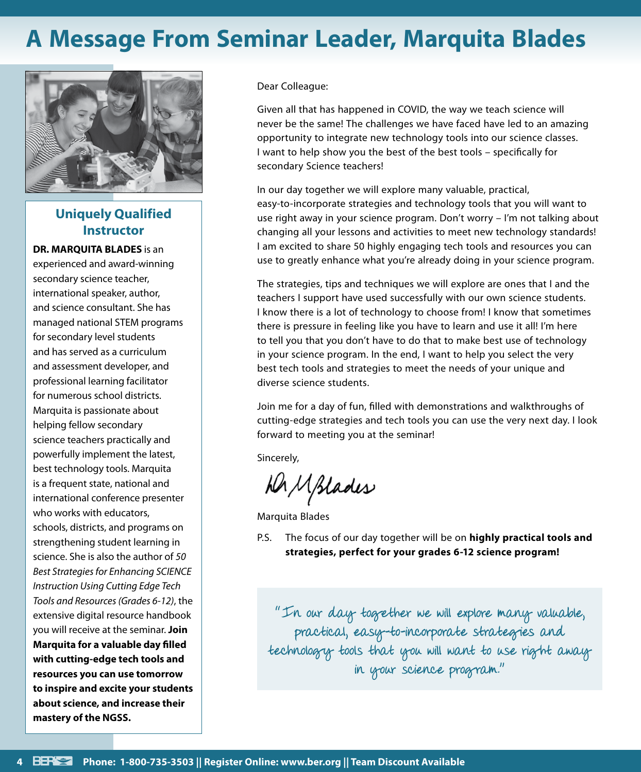# **A Message From Seminar Leader, Marquita Blades**



# **Uniquely Qualified Instructor**

**DR. MARQUITA BLADES** is an

experienced and award-winning secondary science teacher, international speaker, author, and science consultant. She has managed national STEM programs for secondary level students and has served as a curriculum and assessment developer, and professional learning facilitator for numerous school districts. Marquita is passionate about helping fellow secondary science teachers practically and powerfully implement the latest, best technology tools. Marquita is a frequent state, national and international conference presenter who works with educators, schools, districts, and programs on strengthening student learning in science. She is also the author of *50 Best Strategies for Enhancing SCIENCE Instruction Using Cutting Edge Tech Tools and Resources (Grades 6-12)*, the extensive digital resource handbook you will receive at the seminar. **Join Marquita for a valuable day filled with cutting-edge tech tools and resources you can use tomorrow to inspire and excite your students about science, and increase their mastery of the NGSS.**

Dear Colleague:

Given all that has happened in COVID, the way we teach science will never be the same! The challenges we have faced have led to an amazing opportunity to integrate new technology tools into our science classes. I want to help show you the best of the best tools – specifically for secondary Science teachers!

In our day together we will explore many valuable, practical, easy-to-incorporate strategies and technology tools that you will want to use right away in your science program. Don't worry – I'm not talking about changing all your lessons and activities to meet new technology standards! I am excited to share 50 highly engaging tech tools and resources you can use to greatly enhance what you're already doing in your science program.

The strategies, tips and techniques we will explore are ones that I and the teachers I support have used successfully with our own science students. I know there is a lot of technology to choose from! I know that sometimes there is pressure in feeling like you have to learn and use it all! I'm here to tell you that you don't have to do that to make best use of technology in your science program. In the end, I want to help you select the very best tech tools and strategies to meet the needs of your unique and diverse science students.

Join me for a day of fun, filled with demonstrations and walkthroughs of cutting-edge strategies and tech tools you can use the very next day. I look forward to meeting you at the seminar!

Sincerely,

ha Mplades

Marquita Blades

P.S. The focus of our day together will be on **highly practical tools and strategies, perfect for your grades 6-12 science program!**

"In our day together we will explore many valuable, practical, easy-to-incorporate strategies and technology tools that you will want to use right away in your science program."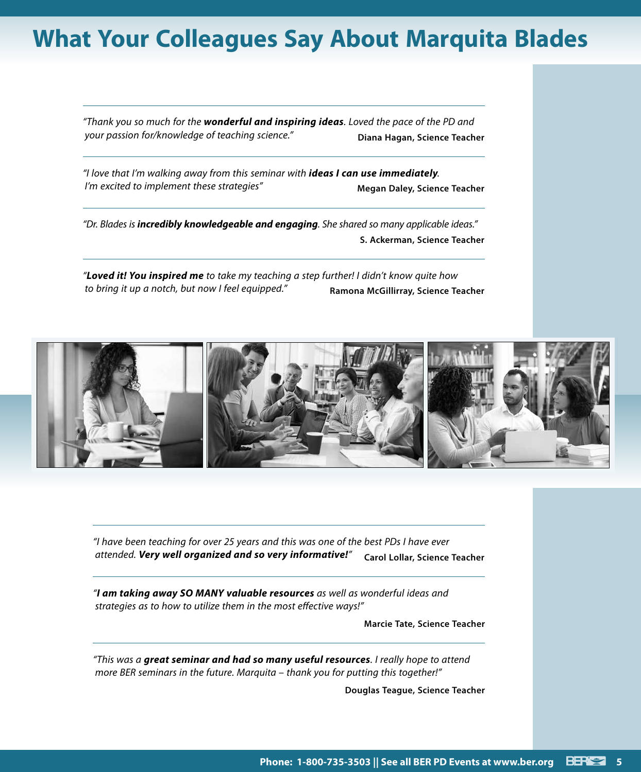# **What Your Colleagues Say About Marquita Blades**

*"Thank you so much for the wonderful and inspiring ideas. Loved the pace of the PD and your passion for/knowledge of teaching science."* **Diana Hagan, Science Teacher**

*"I love that I'm walking away from this seminar with ideas I can use immediately. I'm excited to implement these strategies"* Megan Daley, Science Teacher

*"Dr. Blades is incredibly knowledgeable and engaging. She shared so many applicable ideas."* **S. Ackerman, Science Teacher**

*"Loved it! You inspired me to take my teaching a step further! I didn't know quite how to bring it up a notch, but now I feel equipped."* **Ramona McGillirray, Science Teacher**



*"I have been teaching for over 25 years and this was one of the best PDs I have ever attended. Very well organized and so very informative!"* **Carol Lollar, Science Teacher**

*"I am taking away SO MANY valuable resources as well as wonderful ideas and strategies as to how to utilize them in the most effective ways!"*

**Marcie Tate, Science Teacher**

*"This was a great seminar and had so many useful resources. I really hope to attend more BER seminars in the future. Marquita – thank you for putting this together!"*

**Douglas Teague, Science Teacher**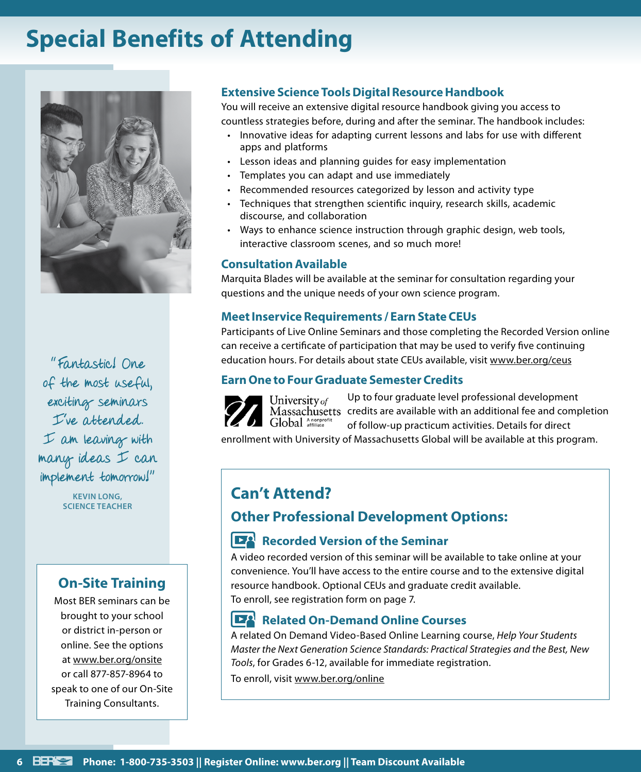# **Special Benefits of Attending**



"Fantastic! One of the most useful, exciting seminars I've attended. I am leaving with many ideas I can implement tomorrow!"

> **KEVIN LONG, SCIENCE TEACHER**

# **On-Site Training**

Most BER seminars can be brought to your school or district in-person or online. See the options at www.ber.org/onsite or call 877-857-8964 to speak to one of our On-Site Training Consultants.

# **Extensive Science Tools Digital Resource Handbook**

You will receive an extensive digital resource handbook giving you access to countless strategies before, during and after the seminar. The handbook includes:

- Innovative ideas for adapting current lessons and labs for use with different apps and platforms
- Lesson ideas and planning guides for easy implementation
- Templates you can adapt and use immediately
- Recommended resources categorized by lesson and activity type
- Techniques that strengthen scientific inquiry, research skills, academic discourse, and collaboration
- Ways to enhance science instruction through graphic design, web tools, interactive classroom scenes, and so much more!

# **Consultation Available**

Marquita Blades will be available at the seminar for consultation regarding your questions and the unique needs of your own science program.

# **Meet Inservice Requirements / Earn State CEUs**

Participants of Live Online Seminars and those completing the Recorded Version online can receive a certificate of participation that may be used to verify five continuing education hours. For details about state CEUs available, visit www.ber.org/ceus

# **Earn One to Four Graduate Semester Credits**

Up to four graduate level professional development University of Massachusetts credits are available with an additional fee and completion Global Anonprofit of follow-up practicum activities. Details for direct

enrollment with University of Massachusetts Global will be available at this program.

# **Can't Attend? Other Professional Development Options:**

# **Recorded Version of the Seminar**

A video recorded version of this seminar will be available to take online at your convenience. You'll have access to the entire course and to the extensive digital resource handbook. Optional CEUs and graduate credit available. To enroll, see registration form on page 7.

### $\mathbf{E}$ **Related On-Demand Online Courses**

A related On Demand Video-Based Online Learning course, *Help Your Students Master the Next Generation Science Standards: Practical Strategies and the Best, New Tools*, for Grades 6-12, available for immediate registration.

To enroll, visit www.ber.org/online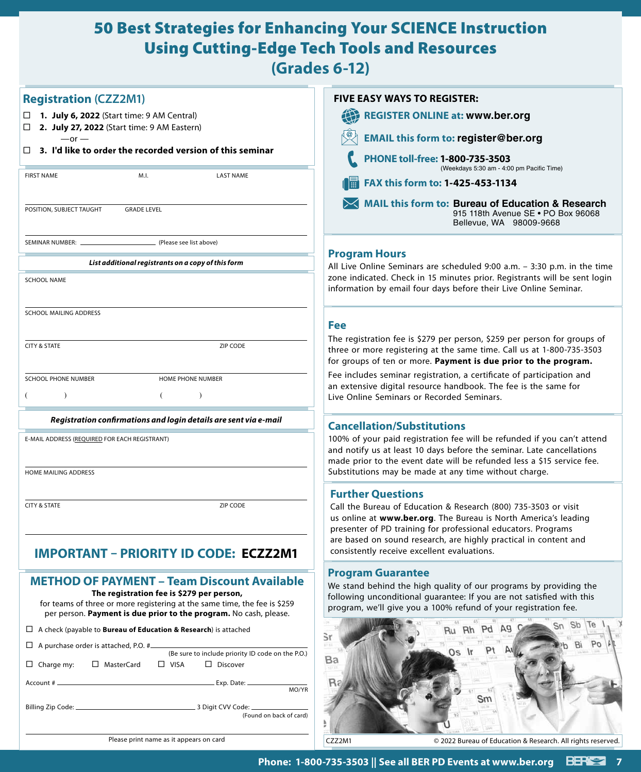# 50 Best Strategies for Enhancing Your SCIENCE Instruction Using Cutting-Edge Tech Tools and Resources

**(Grades 6-12)**

| <b>Registration (CZZ2M1)</b>                                                                                                                                                                                                                      | <b>FIVE EASY WAYS TO REGISTER:</b>                                                                                                                                                                                                                                      |
|---------------------------------------------------------------------------------------------------------------------------------------------------------------------------------------------------------------------------------------------------|-------------------------------------------------------------------------------------------------------------------------------------------------------------------------------------------------------------------------------------------------------------------------|
| 1. July 6, 2022 (Start time: 9 AM Central)<br>$\Box$                                                                                                                                                                                              | 10<br><b>REGISTER ONLINE at: www.ber.org</b>                                                                                                                                                                                                                            |
| 2. July 27, 2022 (Start time: 9 AM Eastern)<br>□<br>$-$ or $-$                                                                                                                                                                                    | <b>EMAIL this form to: register@ber.org</b>                                                                                                                                                                                                                             |
| 3. I'd like to order the recorded version of this seminar<br>п                                                                                                                                                                                    | PHONE toll-free: 1-800-735-3503<br>(Weekdays 5:30 am - 4:00 pm Pacific Time)                                                                                                                                                                                            |
| <b>FIRST NAME</b><br>M.I.<br><b>LAST NAME</b>                                                                                                                                                                                                     | a a<br>FAX this form to: 1-425-453-1134                                                                                                                                                                                                                                 |
| POSITION, SUBJECT TAUGHT<br><b>GRADE LEVEL</b>                                                                                                                                                                                                    | MAIL this form to: Bureau of Education & Research<br>915 118th Avenue SE . PO Box 96068<br>Bellevue, WA 98009-9668                                                                                                                                                      |
| (Please see list above)<br>SEMINAR NUMBER: _                                                                                                                                                                                                      |                                                                                                                                                                                                                                                                         |
| List additional registrants on a copy of this form                                                                                                                                                                                                | <b>Program Hours</b>                                                                                                                                                                                                                                                    |
| <b>SCHOOL NAME</b>                                                                                                                                                                                                                                | All Live Online Seminars are scheduled 9:00 a.m. - 3:30 p.m. in the time<br>zone indicated. Check in 15 minutes prior. Registrants will be sent login<br>information by email four days before their Live Online Seminar.                                               |
| SCHOOL MAILING ADDRESS                                                                                                                                                                                                                            |                                                                                                                                                                                                                                                                         |
|                                                                                                                                                                                                                                                   | <b>Fee</b>                                                                                                                                                                                                                                                              |
| <b>CITY &amp; STATE</b><br>ZIP CODE                                                                                                                                                                                                               | The registration fee is \$279 per person, \$259 per person for groups of<br>three or more registering at the same time. Call us at 1-800-735-3503<br>for groups of ten or more. Payment is due prior to the program.                                                    |
| SCHOOL PHONE NUMBER<br><b>HOME PHONE NUMBER</b>                                                                                                                                                                                                   | Fee includes seminar registration, a certificate of participation and                                                                                                                                                                                                   |
| $\left($<br>$\lambda$<br>$\lambda$                                                                                                                                                                                                                | an extensive digital resource handbook. The fee is the same for<br>Live Online Seminars or Recorded Seminars.                                                                                                                                                           |
| Registration confirmations and login details are sent via e-mail                                                                                                                                                                                  | <b>Cancellation/Substitutions</b>                                                                                                                                                                                                                                       |
| E-MAIL ADDRESS (REQUIRED FOR EACH REGISTRANT)                                                                                                                                                                                                     | 100% of your paid registration fee will be refunded if you can't attend<br>and notify us at least 10 days before the seminar. Late cancellations<br>made prior to the event date will be refunded less a \$15 service fee.                                              |
| HOME MAILING ADDRESS                                                                                                                                                                                                                              | Substitutions may be made at any time without charge.                                                                                                                                                                                                                   |
|                                                                                                                                                                                                                                                   | <b>Further Questions</b>                                                                                                                                                                                                                                                |
| ZIP CODE<br><b>CITY &amp; STATE</b>                                                                                                                                                                                                               | Call the Bureau of Education & Research (800) 735-3503 or visit<br>us online at www.ber.org. The Bureau is North America's leading<br>presenter of PD training for professional educators. Programs<br>are based on sound research, are highly practical in content and |
| <b>IMPORTANT – PRIORITY ID CODE: ECZZ2M1</b>                                                                                                                                                                                                      | consistently receive excellent evaluations.                                                                                                                                                                                                                             |
| <b>METHOD OF PAYMENT - Team Discount Available</b><br>The registration fee is \$279 per person,<br>for teams of three or more registering at the same time, the fee is \$259<br>per person. Payment is due prior to the program. No cash, please. | <b>Program Guarantee</b><br>We stand behind the high quality of our programs by providing the<br>following unconditional guarantee: If you are not satisfied with this<br>program, we'll give you a 100% refund of your registration fee.                               |
| $\Box$ A check (payable to <b>Bureau of Education &amp; Research</b> ) is attached                                                                                                                                                                | <b>SD</b><br>Sn<br>A9<br>Pd<br><b>Rh</b><br>Ru<br>S٢                                                                                                                                                                                                                    |
| $\Box$ A purchase order is attached, P.O. # $\Box$<br>(Be sure to include priority ID code on the P.O.)<br>□ MasterCard<br>$\Box$ VISA<br>$\Box$ Discover<br>$\Box$ Charge my:<br>Exp. Date: _<br>Account # __<br>MO/YR                           | 1731<br>Pt<br>Os Ir<br>Ba                                                                                                                                                                                                                                               |
| (Found on back of card)                                                                                                                                                                                                                           | Sm                                                                                                                                                                                                                                                                      |
| Please print name as it appears on card                                                                                                                                                                                                           | CZZ2M1<br>© 2022 Bureau of Education & Research. All rights reserved.                                                                                                                                                                                                   |